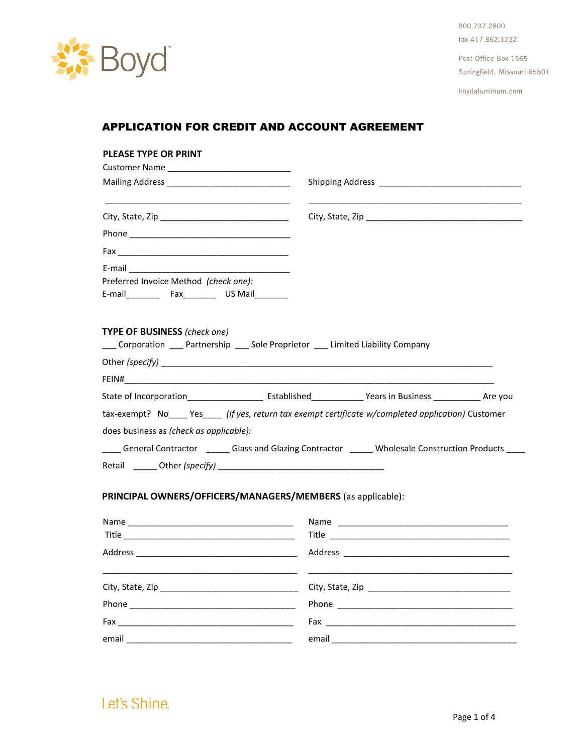

800.737.2800 fax 417,862,1232

Post Office Box 1565 Springfield, Missouri 65801

boydaluminum.com

# APPLICATION FOR CREDIT AND ACCOUNT AGREEMENT

| PLEASE TYPE OR PRINT                                                                                                        |                                                                                                                                                                                                                                |
|-----------------------------------------------------------------------------------------------------------------------------|--------------------------------------------------------------------------------------------------------------------------------------------------------------------------------------------------------------------------------|
|                                                                                                                             | Shipping Address and the control of the control of the control of the control of the control of the control of the control of the control of the control of the control of the control of the control of the control of the co |
|                                                                                                                             |                                                                                                                                                                                                                                |
|                                                                                                                             |                                                                                                                                                                                                                                |
|                                                                                                                             |                                                                                                                                                                                                                                |
|                                                                                                                             |                                                                                                                                                                                                                                |
|                                                                                                                             |                                                                                                                                                                                                                                |
| Preferred Invoice Method (check one):                                                                                       |                                                                                                                                                                                                                                |
| <b>TYPE OF BUSINESS</b> (check one)<br>___ Corporation ____ Partnership ____ Sole Proprietor ____ Limited Liability Company |                                                                                                                                                                                                                                |
|                                                                                                                             |                                                                                                                                                                                                                                |
|                                                                                                                             |                                                                                                                                                                                                                                |
|                                                                                                                             |                                                                                                                                                                                                                                |
|                                                                                                                             | tax-exempt? No Yes (If yes, return tax exempt certificate w/completed application) Customer                                                                                                                                    |
| does business as (check as applicable):                                                                                     |                                                                                                                                                                                                                                |
|                                                                                                                             | General Contractor ________Glass and Glazing Contractor _______ Wholesale Construction Products ____                                                                                                                           |
|                                                                                                                             |                                                                                                                                                                                                                                |
| PRINCIPAL OWNERS/OFFICERS/MANAGERS/MEMBERS (as applicable):                                                                 |                                                                                                                                                                                                                                |
|                                                                                                                             |                                                                                                                                                                                                                                |
|                                                                                                                             |                                                                                                                                                                                                                                |
|                                                                                                                             |                                                                                                                                                                                                                                |
|                                                                                                                             |                                                                                                                                                                                                                                |
|                                                                                                                             |                                                                                                                                                                                                                                |
| Fax<br><u> 1980 - Jan Barbara, martin amerikan basar dan berasal dari berasal dalam basar dalam basar dalam basar dalam</u> |                                                                                                                                                                                                                                |
| email                                                                                                                       |                                                                                                                                                                                                                                |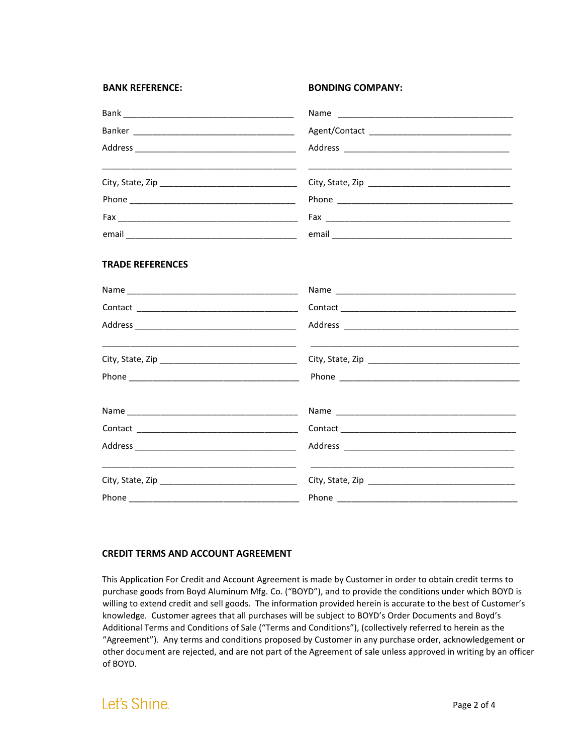| <b>BANK REFERENCE:</b>  | <b>BONDING COMPANY:</b>                                                                                                           |
|-------------------------|-----------------------------------------------------------------------------------------------------------------------------------|
|                         |                                                                                                                                   |
|                         |                                                                                                                                   |
|                         |                                                                                                                                   |
|                         |                                                                                                                                   |
|                         |                                                                                                                                   |
|                         |                                                                                                                                   |
|                         |                                                                                                                                   |
| <b>TRADE REFERENCES</b> |                                                                                                                                   |
|                         |                                                                                                                                   |
|                         |                                                                                                                                   |
|                         |                                                                                                                                   |
|                         |                                                                                                                                   |
|                         |                                                                                                                                   |
|                         |                                                                                                                                   |
|                         |                                                                                                                                   |
|                         |                                                                                                                                   |
|                         | <u> The Communication of the Communication of the Communication of the Communication of the Communication of the Co</u><br>______ |
|                         |                                                                                                                                   |

### **CREDIT TERMS AND ACCOUNT AGREEMENT**

This Application For Credit and Account Agreement is made by Customer in order to obtain credit terms to purchase goods from Boyd Aluminum Mfg. Co. ("BOYD"), and to provide the conditions under which BOYD is willing to extend credit and sell goods. The information provided herein is accurate to the best of Customer's knowledge. Customer agrees that all purchases will be subject to BOYD's Order Documents and Boyd's Additional Terms and Conditions of Sale ("Terms and Conditions"), (collectively referred to herein as the "Agreement"). Any terms and conditions proposed by Customer in any purchase order, acknowledgement or other document are rejected, and are not part of the Agreement of sale unless approved in writing by an officer of BOYD.

# Let's Shine.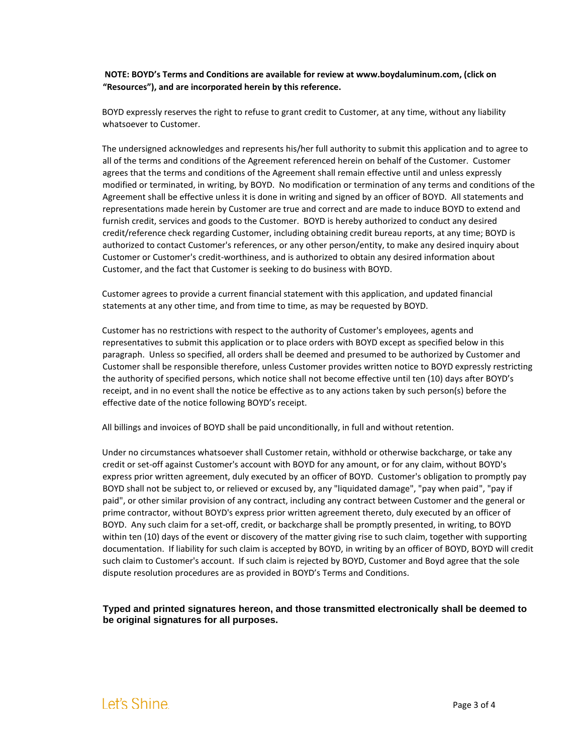**NOTE: BOYD's Terms and Conditions are available for review at www.boydaluminum.com, (click on "Resources"), and are incorporated herein by this reference.** 

BOYD expressly reserves the right to refuse to grant credit to Customer, at any time, without any liability whatsoever to Customer.

The undersigned acknowledges and represents his/her full authority to submit this application and to agree to all of the terms and conditions of the Agreement referenced herein on behalf of the Customer. Customer agrees that the terms and conditions of the Agreement shall remain effective until and unless expressly modified or terminated, in writing, by BOYD. No modification or termination of any terms and conditions of the Agreement shall be effective unless it is done in writing and signed by an officer of BOYD. All statements and representations made herein by Customer are true and correct and are made to induce BOYD to extend and furnish credit, services and goods to the Customer. BOYD is hereby authorized to conduct any desired credit/reference check regarding Customer, including obtaining credit bureau reports, at any time; BOYD is authorized to contact Customer's references, or any other person/entity, to make any desired inquiry about Customer or Customer's credit-worthiness, and is authorized to obtain any desired information about Customer, and the fact that Customer is seeking to do business with BOYD.

Customer agrees to provide a current financial statement with this application, and updated financial statements at any other time, and from time to time, as may be requested by BOYD.

Customer has no restrictions with respect to the authority of Customer's employees, agents and representatives to submit this application or to place orders with BOYD except as specified below in this paragraph. Unless so specified, all orders shall be deemed and presumed to be authorized by Customer and Customer shall be responsible therefore, unless Customer provides written notice to BOYD expressly restricting the authority of specified persons, which notice shall not become effective until ten (10) days after BOYD's receipt, and in no event shall the notice be effective as to any actions taken by such person(s) before the effective date of the notice following BOYD's receipt.

All billings and invoices of BOYD shall be paid unconditionally, in full and without retention.

Under no circumstances whatsoever shall Customer retain, withhold or otherwise backcharge, or take any credit or set-off against Customer's account with BOYD for any amount, or for any claim, without BOYD's express prior written agreement, duly executed by an officer of BOYD. Customer's obligation to promptly pay BOYD shall not be subject to, or relieved or excused by, any "liquidated damage", "pay when paid", "pay if paid", or other similar provision of any contract, including any contract between Customer and the general or prime contractor, without BOYD's express prior written agreement thereto, duly executed by an officer of BOYD. Any such claim for a set-off, credit, or backcharge shall be promptly presented, in writing, to BOYD within ten (10) days of the event or discovery of the matter giving rise to such claim, together with supporting documentation. If liability for such claim is accepted by BOYD, in writing by an officer of BOYD, BOYD will credit such claim to Customer's account. If such claim is rejected by BOYD, Customer and Boyd agree that the sole dispute resolution procedures are as provided in BOYD's Terms and Conditions.

**Typed and printed signatures hereon, and those transmitted electronically shall be deemed to be original signatures for all purposes.**